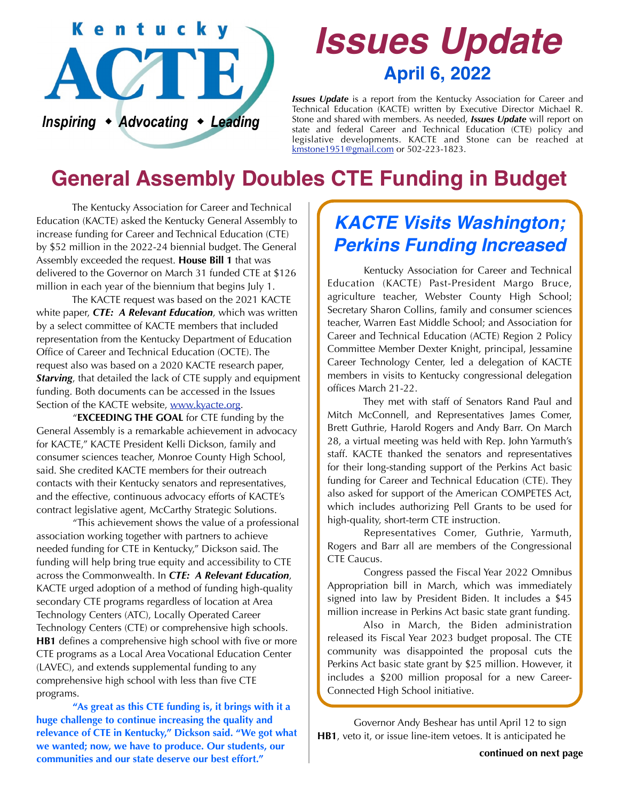

# *Issues Update* **April 6, 2022**

*Issues Update* is a report from the Kentucky Association for Career and Technical Education (KACTE) written by Executive Director Michael R. Stone and shared with members. As needed, *Issues Update* will report on state and federal Career and Technical Education (CTE) policy and legislative developments. KACTE and Stone can be reached at [kmstone1951@gmail.com](mailto:kmstone1951@gmail.com) or 502-223-1823.

## **General Assembly Doubles CTE Funding in Budget**

 The Kentucky Association for Career and Technical Education (KACTE) asked the Kentucky General Assembly to increase funding for Career and Technical Education (CTE) by \$52 million in the 2022-24 biennial budget. The General Assembly exceeded the request. **House Bill 1** that was delivered to the Governor on March 31 funded CTE at \$126 million in each year of the biennium that begins July 1.

 The KACTE request was based on the 2021 KACTE white paper, *CTE: A Relevant Education*, which was written by a select committee of KACTE members that included representation from the Kentucky Department of Education Office of Career and Technical Education (OCTE). The request also was based on a 2020 KACTE research paper, *Starving*, that detailed the lack of CTE supply and equipment funding. Both documents can be accessed in the Issues Section of the KACTE website, [www.kyacte.org.](http://www.kyacte.org)

 "**EXCEEDING THE GOAL** for CTE funding by the General Assembly is a remarkable achievement in advocacy for KACTE," KACTE President Kelli Dickson, family and consumer sciences teacher, Monroe County High School, said. She credited KACTE members for their outreach contacts with their Kentucky senators and representatives, and the effective, continuous advocacy efforts of KACTE's contract legislative agent, McCarthy Strategic Solutions.

 "This achievement shows the value of a professional association working together with partners to achieve needed funding for CTE in Kentucky," Dickson said. The funding will help bring true equity and accessibility to CTE across the Commonwealth. In *CTE: A Relevant Education*, KACTE urged adoption of a method of funding high-quality secondary CTE programs regardless of location at Area Technology Centers (ATC), Locally Operated Career Technology Centers (CTE) or comprehensive high schools. **HB1** defines a comprehensive high school with five or more CTE programs as a Local Area Vocational Education Center (LAVEC), and extends supplemental funding to any comprehensive high school with less than five CTE programs.

**"As great as this CTE funding is, it brings with it a huge challenge to continue increasing the quality and relevance of CTE in Kentucky," Dickson said. "We got what we wanted; now, we have to produce. Our students, our communities and our state deserve our best effort." continued on next page**

#### *KACTE Visits Washington; Perkins Funding Increased*

 Kentucky Association for Career and Technical Education (KACTE) Past-President Margo Bruce, agriculture teacher, Webster County High School; Secretary Sharon Collins, family and consumer sciences teacher, Warren East Middle School; and Association for Career and Technical Education (ACTE) Region 2 Policy Committee Member Dexter Knight, principal, Jessamine Career Technology Center, led a delegation of KACTE members in visits to Kentucky congressional delegation offices March 21-22.

 They met with staff of Senators Rand Paul and Mitch McConnell, and Representatives James Comer, Brett Guthrie, Harold Rogers and Andy Barr. On March 28, a virtual meeting was held with Rep. John Yarmuth's staff. KACTE thanked the senators and representatives for their long-standing support of the Perkins Act basic funding for Career and Technical Education (CTE). They also asked for support of the American COMPETES Act, which includes authorizing Pell Grants to be used for high-quality, short-term CTE instruction.

 Representatives Comer, Guthrie, Yarmuth, Rogers and Barr all are members of the Congressional CTE Caucus.

 Congress passed the Fiscal Year 2022 Omnibus Appropriation bill in March, which was immediately signed into law by President Biden. It includes a \$45 million increase in Perkins Act basic state grant funding.

 Also in March, the Biden administration released its Fiscal Year 2023 budget proposal. The CTE community was disappointed the proposal cuts the Perkins Act basic state grant by \$25 million. However, it includes a \$200 million proposal for a new Career-Connected High School initiative.

Governor Andy Beshear has until April 12 to sign **HB1**, veto it, or issue line-item vetoes. It is anticipated he